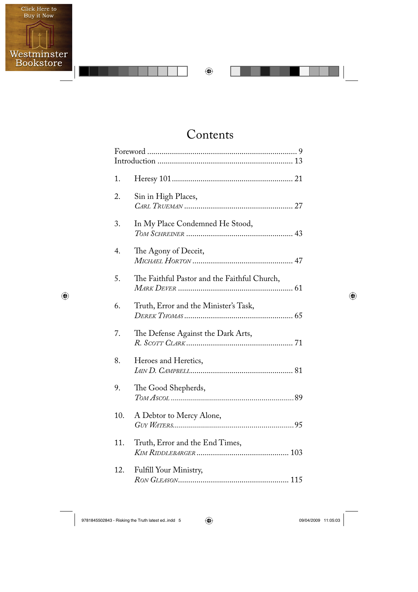

## Contents

 $\bigoplus$ 

. .

| 1.  |                                              |  |  |
|-----|----------------------------------------------|--|--|
| 2.  | Sin in High Places,                          |  |  |
| 3.  | In My Place Condemned He Stood,              |  |  |
| 4.  | The Agony of Deceit,                         |  |  |
| 5.  | The Faithful Pastor and the Faithful Church, |  |  |
| 6.  | Truth, Error and the Minister's Task,        |  |  |
| 7.  | The Defense Against the Dark Arts,           |  |  |
| 8.  | Heroes and Heretics,                         |  |  |
| 9.  | The Good Shepherds,                          |  |  |
| 10. | A Debtor to Mercy Alone,                     |  |  |
| 11. | Truth, Error and the End Times,              |  |  |
| 12. | Fulfill Your Ministry,                       |  |  |

 $\bigoplus$ 

9781845502843 - Risking the Truth latest ed..indd 5 781845502843 - 781845502843 09/04/2009 11:05:03

 $\bigoplus$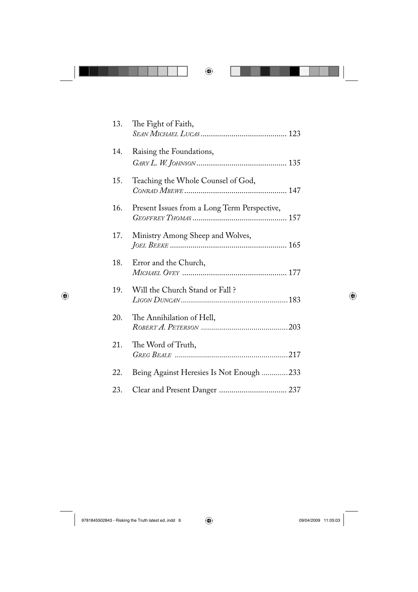| 13. | The Fight of Faith,      |  | 123 |
|-----|--------------------------|--|-----|
| 14. | Raising the Foundations, |  |     |
|     |                          |  | 135 |

. . .

U.

 $\bigoplus$ 

| 15. | Teaching the Whole Counsel of God,           |
|-----|----------------------------------------------|
| 16. | Present Issues from a Long Term Perspective, |
| 17. | Ministry Among Sheep and Wolves,             |
| 18. | Error and the Church,                        |
| 19. | Will the Church Stand or Fall?               |
| 20. | The Annihilation of Hell,                    |
| 21. | The Word of Truth,                           |
| 22. | Being Against Heresies Is Not Enough 233     |
| 23. |                                              |

9781845502843 - Risking the Truth latest ed..indd 6 781845502843 - 781845502843 09/04/2009 11:05:03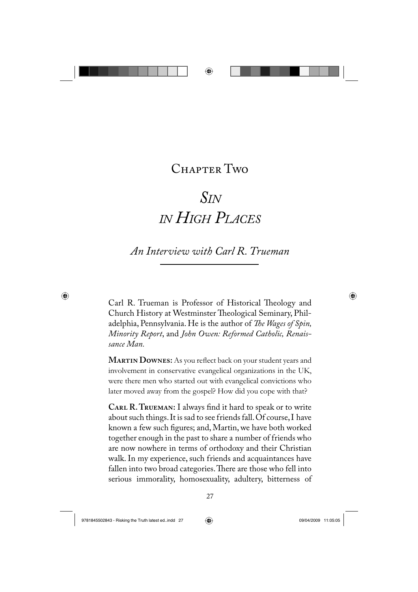

## CHAPTER TWO

## *SIN IN HIGH PLACES*

## *An Interview with Carl R. Trueman*

Carl R. Trueman is Professor of Historical Theology and Church History at Westminster Theological Seminary, Philadelphia, Pennsylvania. He is the author of *The Wages of Spin*, *Minority Report*, and *John Owen: Reformed Catholic, Renaissance Man.*

**MARTIN DOWNES:** As you reflect back on your student years and involvement in conservative evangelical organizations in the UK, were there men who started out with evangelical convictions who later moved away from the gospel? How did you cope with that?

CARL R. TRUEMAN: I always find it hard to speak or to write about such things. It is sad to see friends fall. Of course, I have known a few such figures; and, Martin, we have both worked together enough in the past to share a number of friends who are now nowhere in terms of orthodoxy and their Christian walk. In my experience, such friends and acquaintances have fallen into two broad categories. There are those who fell into serious immorality, homosexuality, adultery, bitterness of

⊕

 $\bigoplus$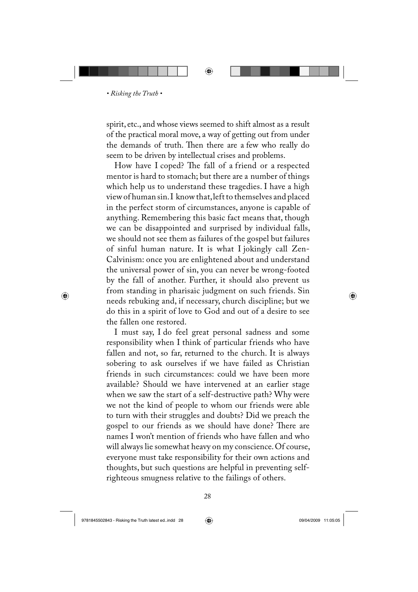

*<sup>•</sup> Risking the Truth •*

⊕

spirit, etc., and whose views seemed to shift almost as a result of the practical moral move, a way of getting out from under the demands of truth. Then there are a few who really do seem to be driven by intellectual crises and problems.

How have I coped? The fall of a friend or a respected mentor is hard to stomach; but there are a number of things which help us to understand these tragedies. I have a high view of human sin. I know that, left to themselves and placed in the perfect storm of circumstances, anyone is capable of anything. Remembering this basic fact means that, though we can be disappointed and surprised by individual falls, we should not see them as failures of the gospel but failures of sinful human nature. It is what I jokingly call Zen-Calvinism: once you are enlightened about and understand the universal power of sin, you can never be wrong-footed by the fall of another. Further, it should also prevent us from standing in pharisaic judgment on such friends. Sin needs rebuking and, if necessary, church discipline; but we do this in a spirit of love to God and out of a desire to see the fallen one restored.

I must say, I do feel great personal sadness and some responsibility when I think of particular friends who have fallen and not, so far, returned to the church. It is always sobering to ask ourselves if we have failed as Christian friends in such circumstances: could we have been more available? Should we have intervened at an earlier stage when we saw the start of a self-destructive path? Why were we not the kind of people to whom our friends were able to turn with their struggles and doubts? Did we preach the gospel to our friends as we should have done? There are names I won't mention of friends who have fallen and who will always lie somewhat heavy on my conscience. Of course, everyone must take responsibility for their own actions and thoughts, but such questions are helpful in preventing selfrighteous smugness relative to the failings of others.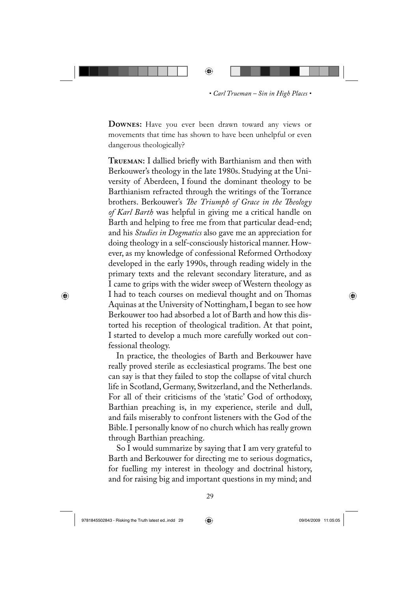

 $\bigoplus$ 



**Downes:** Have you ever been drawn toward any views or movements that time has shown to have been unhelpful or even dangerous theologically?

◈

TRUEMAN: I dallied briefly with Barthianism and then with Berkouwer's theology in the late 1980s. Studying at the University of Aberdeen, I found the dominant theology to be Barthianism refracted through the writings of the Torrance brothers. Berkouwer's *The Triumph of Grace in the Theology of Karl Barth* was helpful in giving me a critical handle on Barth and helping to free me from that particular dead-end; and his *Studies in Dogmatics* also gave me an appreciation for doing theology in a self-consciously historical manner. However, as my knowledge of confessional Reformed Orthodoxy developed in the early 1990s, through reading widely in the primary texts and the relevant secondary literature, and as I came to grips with the wider sweep of Western theology as I had to teach courses on medieval thought and on Thomas Aquinas at the University of Nottingham, I began to see how Berkouwer too had absorbed a lot of Barth and how this distorted his reception of theological tradition. At that point, I started to develop a much more carefully worked out confessional theology.

In practice, the theologies of Barth and Berkouwer have really proved sterile as ecclesiastical programs. The best one can say is that they failed to stop the collapse of vital church life in Scotland, Germany, Switzerland, and the Netherlands. For all of their criticisms of the 'static' God of orthodoxy, Barthian preaching is, in my experience, sterile and dull, and fails miserably to confront listeners with the God of the Bible. I personally know of no church which has really grown through Barthian preaching.

So I would summarize by saying that I am very grateful to Barth and Berkouwer for directing me to serious dogmatics, for fuelling my interest in theology and doctrinal history, and for raising big and important questions in my mind; and

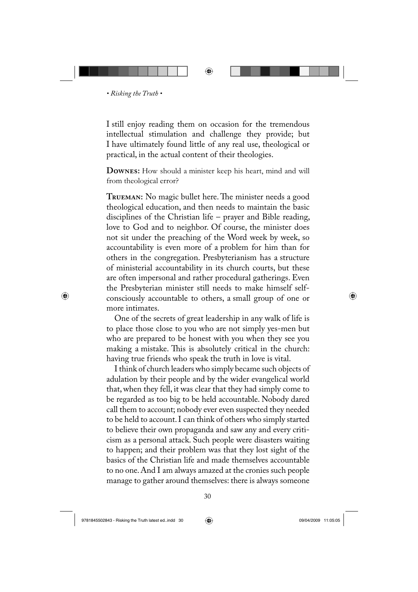

⊕

I still enjoy reading them on occasion for the tremendous intellectual stimulation and challenge they provide; but I have ultimately found little of any real use, theological or practical, in the actual content of their theologies.

**Downes:** How should a minister keep his heart, mind and will from theological error?

**TRUEMAN:** No magic bullet here. The minister needs a good theological education, and then needs to maintain the basic disciplines of the Christian life – prayer and Bible reading, love to God and to neighbor. Of course, the minister does not sit under the preaching of the Word week by week, so accountability is even more of a problem for him than for others in the congregation. Presbyterianism has a structure of ministerial accountability in its church courts, but these are often impersonal and rather procedural gatherings. Even the Presbyterian minister still needs to make himself selfconsciously accountable to others, a small group of one or more intimates.

One of the secrets of great leadership in any walk of life is to place those close to you who are not simply yes-men but who are prepared to be honest with you when they see you making a mistake. This is absolutely critical in the church: having true friends who speak the truth in love is vital.

I think of church leaders who simply became such objects of adulation by their people and by the wider evangelical world that, when they fell, it was clear that they had simply come to be regarded as too big to be held accountable. Nobody dared call them to account; nobody ever even suspected they needed to be held to account. I can think of others who simply started to believe their own propaganda and saw any and every criticism as a personal attack. Such people were disasters waiting to happen; and their problem was that they lost sight of the basics of the Christian life and made themselves accountable to no one. And I am always amazed at the cronies such people manage to gather around themselves: there is always someone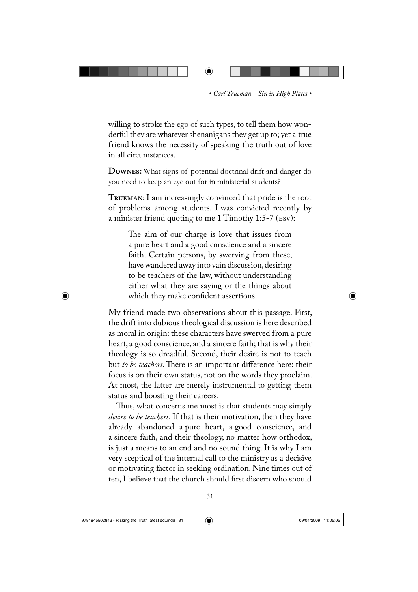

willing to stroke the ego of such types, to tell them how wonderful they are whatever shenanigans they get up to; yet a true friend knows the necessity of speaking the truth out of love in all circumstances.

**Downes:** What signs of potential doctrinal drift and danger do you need to keep an eye out for in ministerial students?

**Trueman:** I am increasingly convinced that pride is the root of problems among students. I was convicted recently by a minister friend quoting to me 1 Timothy 1:5-7 (esv):

The aim of our charge is love that issues from a pure heart and a good conscience and a sincere faith. Certain persons, by swerving from these, have wandered away into vain discussion, desiring to be teachers of the law, without understanding either what they are saying or the things about which they make confident assertions.

My friend made two observations about this passage. First, the drift into dubious theological discussion is here described as moral in origin: these characters have swerved from a pure heart, a good conscience, and a sincere faith; that is why their theology is so dreadful. Second, their desire is not to teach but *to be teachers*. There is an important difference here: their focus is on their own status, not on the words they proclaim. At most, the latter are merely instrumental to getting them status and boosting their careers.

Thus, what concerns me most is that students may simply *desire to be teachers*. If that is their motivation, then they have already abandoned a pure heart, a good conscience, and a sincere faith, and their theology, no matter how orthodox, is just a means to an end and no sound thing. It is why I am very sceptical of the internal call to the ministry as a decisive or motivating factor in seeking ordination. Nine times out of ten, I believe that the church should first discern who should

⊕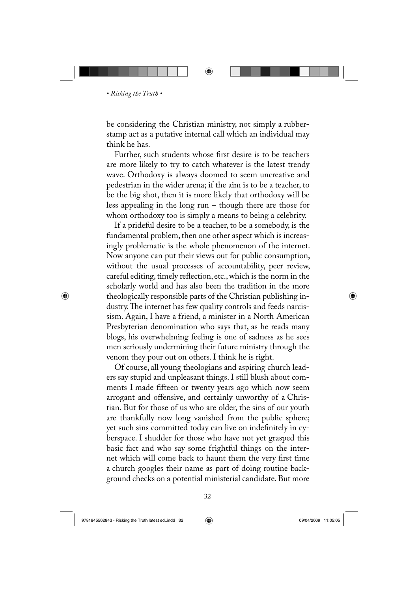

⊕

be considering the Christian ministry, not simply a rubberstamp act as a putative internal call which an individual may think he has.

Further, such students whose first desire is to be teachers are more likely to try to catch whatever is the latest trendy wave. Orthodoxy is always doomed to seem uncreative and pedestrian in the wider arena; if the aim is to be a teacher, to be the big shot, then it is more likely that orthodoxy will be less appealing in the long run – though there are those for whom orthodoxy too is simply a means to being a celebrity.

If a prideful desire to be a teacher, to be a somebody, is the fundamental problem, then one other aspect which is increasingly problematic is the whole phenomenon of the internet. Now anyone can put their views out for public consumption, without the usual processes of accountability, peer review, careful editing, timely reflection, etc., which is the norm in the scholarly world and has also been the tradition in the more theologically responsible parts of the Christian publishing industry. The internet has few quality controls and feeds narcissism. Again, I have a friend, a minister in a North American Presbyterian denomination who says that, as he reads many blogs, his overwhelming feeling is one of sadness as he sees men seriously undermining their future ministry through the venom they pour out on others. I think he is right.

Of course, all young theologians and aspiring church leaders say stupid and unpleasant things. I still blush about comments I made fifteen or twenty years ago which now seem arrogant and offensive, and certainly unworthy of a Christian. But for those of us who are older, the sins of our youth are thankfully now long vanished from the public sphere; yet such sins committed today can live on indefinitely in cyberspace. I shudder for those who have not yet grasped this basic fact and who say some frightful things on the internet which will come back to haunt them the very first time a church googles their name as part of doing routine background checks on a potential ministerial candidate. But more

32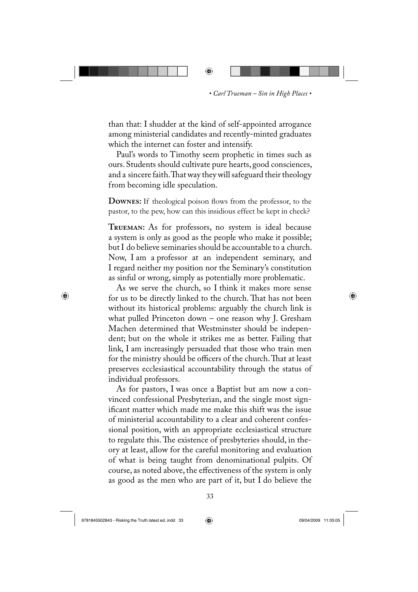

than that: I shudder at the kind of self-appointed arrogance among ministerial candidates and recently-minted graduates which the internet can foster and intensify.

Paul's words to Timothy seem prophetic in times such as ours. Students should cultivate pure hearts, good consciences, and a sincere faith. That way they will safeguard their theology from becoming idle speculation.

**Downes:** If theological poison flows from the professor, to the pastor, to the pew, how can this insidious effect be kept in check?

**Trueman:** As for professors, no system is ideal because a system is only as good as the people who make it possible; but I do believe seminaries should be accountable to a church. Now, I am a professor at an independent seminary, and I regard neither my position nor the Seminary's constitution as sinful or wrong, simply as potentially more problematic.

As we serve the church, so I think it makes more sense for us to be directly linked to the church. That has not been without its historical problems: arguably the church link is what pulled Princeton down – one reason why J. Gresham Machen determined that Westminster should be independent; but on the whole it strikes me as better. Failing that link, I am increasingly persuaded that those who train men for the ministry should be officers of the church. That at least preserves ecclesiastical accountability through the status of individual professors.

As for pastors, I was once a Baptist but am now a convinced confessional Presbyterian, and the single most significant matter which made me make this shift was the issue of ministerial accountability to a clear and coherent confessional position, with an appropriate ecclesiastical structure to regulate this. The existence of presbyteries should, in theory at least, allow for the careful monitoring and evaluation of what is being taught from denominational pulpits. Of course, as noted above, the effectiveness of the system is only as good as the men who are part of it, but I do believe the

 $\bigoplus$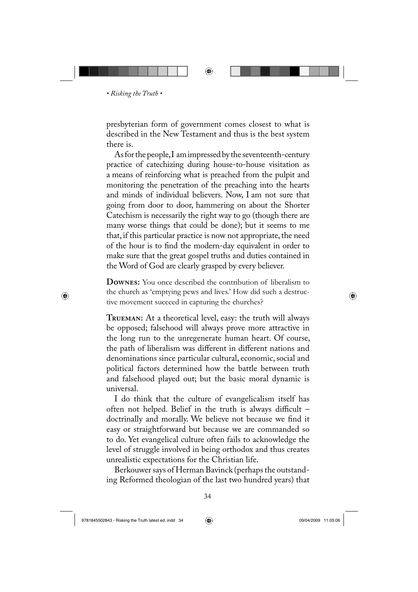

*<sup>•</sup> Risking the Truth •*

 $\bigoplus$ 

presbyterian form of government comes closest to what is described in the New Testament and thus is the best system there is.

As for the people, I am impressed by the seventeenth-century practice of catechizing during house-to-house visitation as a means of reinforcing what is preached from the pulpit and monitoring the penetration of the preaching into the hearts and minds of individual believers. Now, I am not sure that going from door to door, hammering on about the Shorter Catechism is necessarily the right way to go (though there are many worse things that could be done); but it seems to me that, if this particular practice is now not appropriate, the need of the hour is to find the modern-day equivalent in order to make sure that the great gospel truths and duties contained in the Word of God are clearly grasped by every believer.

**Downes:** You once described the contribution of liberalism to the church as 'emptying pews and lives.' How did such a destructive movement succeed in capturing the churches?

**Trueman:** At a theoretical level, easy: the truth will always be opposed; falsehood will always prove more attractive in the long run to the unregenerate human heart. Of course, the path of liberalism was different in different nations and denominations since particular cultural, economic, social and political factors determined how the battle between truth and falsehood played out; but the basic moral dynamic is universal.

I do think that the culture of evangelicalism itself has often not helped. Belief in the truth is always difficult  $$ doctrinally and morally. We believe not because we find it easy or straightforward but because we are commanded so to do. Yet evangelical culture often fails to acknowledge the level of struggle involved in being orthodox and thus creates unrealistic expectations for the Christian life.

Berkouwer says of Herman Bavinck (perhaps the outstanding Reformed theologian of the last two hundred years) that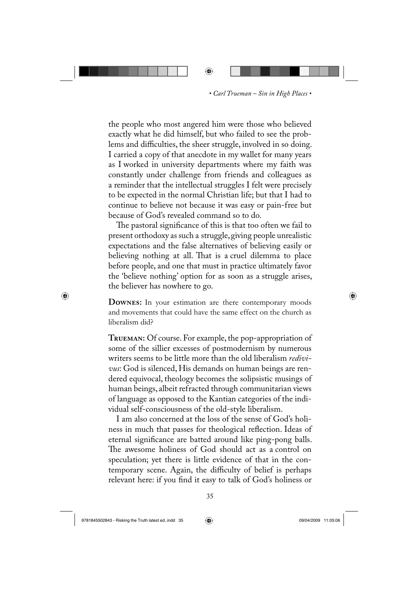

the people who most angered him were those who believed exactly what he did himself, but who failed to see the problems and difficulties, the sheer struggle, involved in so doing. I carried a copy of that anecdote in my wallet for many years as I worked in university departments where my faith was constantly under challenge from friends and colleagues as a reminder that the intellectual struggles I felt were precisely to be expected in the normal Christian life; but that I had to continue to believe not because it was easy or pain-free but because of God's revealed command so to do.

The pastoral significance of this is that too often we fail to present orthodoxy as such a struggle, giving people unrealistic expectations and the false alternatives of believing easily or believing nothing at all. That is a cruel dilemma to place before people, and one that must in practice ultimately favor the 'believe nothing' option for as soon as a struggle arises, the believer has nowhere to go.

**Downes:** In your estimation are there contemporary moods and movements that could have the same effect on the church as liberalism did?

**Trueman:** Of course. For example, the pop-appropriation of some of the sillier excesses of postmodernism by numerous writers seems to be little more than the old liberalism *redivivus*: God is silenced, His demands on human beings are rendered equivocal, theology becomes the solipsistic musings of human beings, albeit refracted through communitarian views of language as opposed to the Kantian categories of the individual self-consciousness of the old-style liberalism.

I am also concerned at the loss of the sense of God's holiness in much that passes for theological reflection. Ideas of eternal significance are batted around like ping-pong balls. The awesome holiness of God should act as a control on speculation; yet there is little evidence of that in the contemporary scene. Again, the difficulty of belief is perhaps relevant here: if you find it easy to talk of God's holiness or

 $\bigoplus$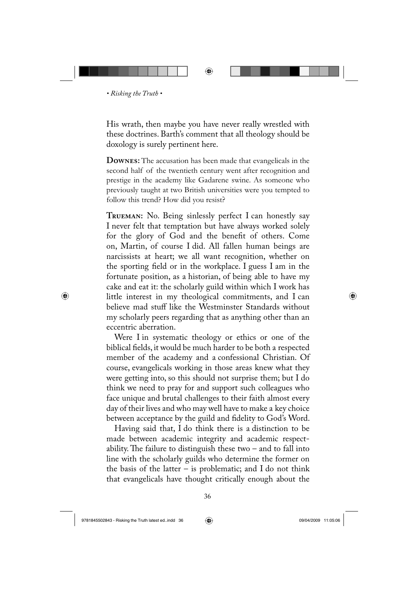

⊕

His wrath, then maybe you have never really wrestled with these doctrines. Barth's comment that all theology should be doxology is surely pertinent here.

**Downes:** The accusation has been made that evangelicals in the second half of the twentieth century went after recognition and prestige in the academy like Gadarene swine. As someone who previously taught at two British universities were you tempted to follow this trend? How did you resist?

**Trueman:** No. Being sinlessly perfect I can honestly say I never felt that temptation but have always worked solely for the glory of God and the benefit of others. Come on, Martin, of course I did. All fallen human beings are narcissists at heart; we all want recognition, whether on the sporting field or in the workplace. I guess I am in the fortunate position, as a historian, of being able to have my cake and eat it: the scholarly guild within which I work has little interest in my theological commitments, and I can believe mad stuff like the Westminster Standards without my scholarly peers regarding that as anything other than an eccentric aberration.

Were I in systematic theology or ethics or one of the biblical fields, it would be much harder to be both a respected member of the academy and a confessional Christian. Of course, evangelicals working in those areas knew what they were getting into, so this should not surprise them; but I do think we need to pray for and support such colleagues who face unique and brutal challenges to their faith almost every day of their lives and who may well have to make a key choice between acceptance by the guild and fidelity to God's Word.

Having said that, I do think there is a distinction to be made between academic integrity and academic respectability. The failure to distinguish these two  $-$  and to fall into line with the scholarly guilds who determine the former on the basis of the latter – is problematic; and I do not think that evangelicals have thought critically enough about the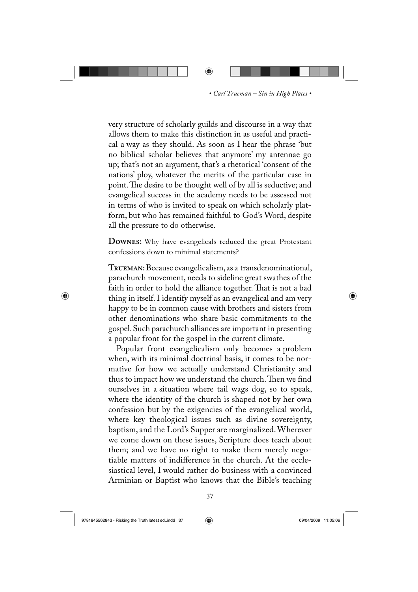



very structure of scholarly guilds and discourse in a way that allows them to make this distinction in as useful and practical a way as they should. As soon as I hear the phrase 'but no biblical scholar believes that anymore' my antennae go up; that's not an argument, that's a rhetorical 'consent of the nations' ploy, whatever the merits of the particular case in point. The desire to be thought well of by all is seductive; and evangelical success in the academy needs to be assessed not in terms of who is invited to speak on which scholarly platform, but who has remained faithful to God's Word, despite all the pressure to do otherwise.

**Downes:** Why have evangelicals reduced the great Protestant confessions down to minimal statements?

**Trueman:** Because evangelicalism, as a transdenominational, parachurch movement, needs to sideline great swathes of the faith in order to hold the alliance together. That is not a bad thing in itself. I identify myself as an evangelical and am very happy to be in common cause with brothers and sisters from other denominations who share basic commitments to the gospel. Such parachurch alliances are important in presenting a popular front for the gospel in the current climate.

Popular front evangelicalism only becomes a problem when, with its minimal doctrinal basis, it comes to be normative for how we actually understand Christianity and thus to impact how we understand the church. Then we find ourselves in a situation where tail wags dog, so to speak, where the identity of the church is shaped not by her own confession but by the exigencies of the evangelical world, where key theological issues such as divine sovereignty, baptism, and the Lord's Supper are marginalized. Wherever we come down on these issues, Scripture does teach about them; and we have no right to make them merely negotiable matters of indifference in the church. At the ecclesiastical level, I would rather do business with a convinced Arminian or Baptist who knows that the Bible's teaching

 $\bigoplus$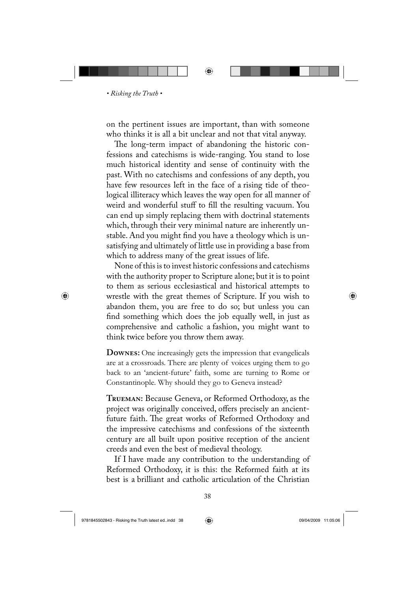

 $\bigoplus$ 

on the pertinent issues are important, than with someone who thinks it is all a bit unclear and not that vital anyway.

The long-term impact of abandoning the historic confessions and catechisms is wide-ranging. You stand to lose much historical identity and sense of continuity with the past. With no catechisms and confessions of any depth, you have few resources left in the face of a rising tide of theological illiteracy which leaves the way open for all manner of weird and wonderful stuff to fill the resulting vacuum. You can end up simply replacing them with doctrinal statements which, through their very minimal nature are inherently unstable. And you might find you have a theology which is unsatisfying and ultimately of little use in providing a base from which to address many of the great issues of life.

None of this is to invest historic confessions and catechisms with the authority proper to Scripture alone; but it is to point to them as serious ecclesiastical and historical attempts to wrestle with the great themes of Scripture. If you wish to abandon them, you are free to do so; but unless you can find something which does the job equally well, in just as comprehensive and catholic a fashion, you might want to think twice before you throw them away.

**Downes:** One increasingly gets the impression that evangelicals are at a crossroads. There are plenty of voices urging them to go back to an 'ancient-future' faith, some are turning to Rome or Constantinople. Why should they go to Geneva instead?

**Trueman:** Because Geneva, or Reformed Orthodoxy, as the project was originally conceived, offers precisely an ancientfuture faith. The great works of Reformed Orthodoxy and the impressive catechisms and confessions of the sixteenth century are all built upon positive reception of the ancient creeds and even the best of medieval theology.

If I have made any contribution to the understanding of Reformed Orthodoxy, it is this: the Reformed faith at its best is a brilliant and catholic articulation of the Christian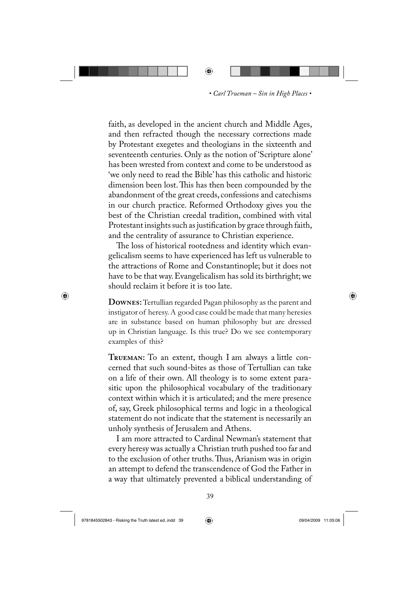



faith, as developed in the ancient church and Middle Ages, and then refracted though the necessary corrections made by Protestant exegetes and theologians in the sixteenth and seventeenth centuries. Only as the notion of 'Scripture alone' has been wrested from context and come to be understood as 'we only need to read the Bible' has this catholic and historic dimension been lost. This has then been compounded by the abandonment of the great creeds, confessions and catechisms in our church practice. Reformed Orthodoxy gives you the best of the Christian creedal tradition, combined with vital Protestant insights such as justification by grace through faith, and the centrality of assurance to Christian experience.

The loss of historical rootedness and identity which evangelicalism seems to have experienced has left us vulnerable to the attractions of Rome and Constantinople; but it does not have to be that way. Evangelicalism has sold its birthright; we should reclaim it before it is too late.

**Downes:** Tertullian regarded Pagan philosophy as the parent and instigator of heresy. A good case could be made that many heresies are in substance based on human philosophy but are dressed up in Christian language. Is this true? Do we see contemporary examples of this?

**Trueman:** To an extent, though I am always a little concerned that such sound-bites as those of Tertullian can take on a life of their own. All theology is to some extent parasitic upon the philosophical vocabulary of the traditionary context within which it is articulated; and the mere presence of, say, Greek philosophical terms and logic in a theological statement do not indicate that the statement is necessarily an unholy synthesis of Jerusalem and Athens.

I am more attracted to Cardinal Newman's statement that every heresy was actually a Christian truth pushed too far and to the exclusion of other truths. Thus, Arianism was in origin an attempt to defend the transcendence of God the Father in a way that ultimately prevented a biblical understanding of

 $\bigoplus$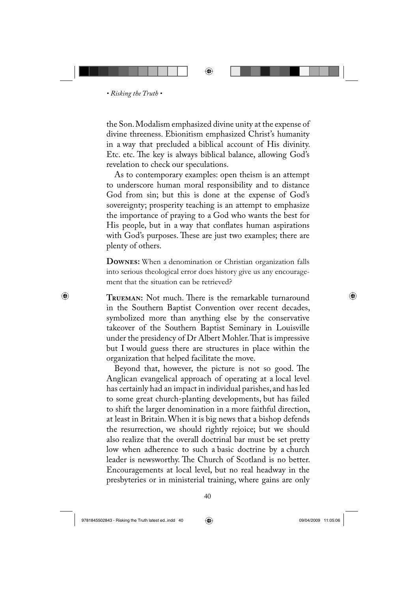

 $\bigoplus$ 

the Son. Modalism emphasized divine unity at the expense of divine threeness. Ebionitism emphasized Christ's humanity in a way that precluded a biblical account of His divinity. Etc. etc. The key is always biblical balance, allowing God's revelation to check our speculations.

As to contemporary examples: open theism is an attempt to underscore human moral responsibility and to distance God from sin; but this is done at the expense of God's sovereignty; prosperity teaching is an attempt to emphasize the importance of praying to a God who wants the best for His people, but in a way that conflates human aspirations with God's purposes. These are just two examples; there are plenty of others.

**Downes:** When a denomination or Christian organization falls into serious theological error does history give us any encouragement that the situation can be retrieved?

**TRUEMAN:** Not much. There is the remarkable turnaround in the Southern Baptist Convention over recent decades, symbolized more than anything else by the conservative takeover of the Southern Baptist Seminary in Louisville under the presidency of Dr Albert Mohler. That is impressive but I would guess there are structures in place within the organization that helped facilitate the move.

Beyond that, however, the picture is not so good. The Anglican evangelical approach of operating at a local level has certainly had an impact in individual parishes, and has led to some great church-planting developments, but has failed to shift the larger denomination in a more faithful direction, at least in Britain. When it is big news that a bishop defends the resurrection, we should rightly rejoice; but we should also realize that the overall doctrinal bar must be set pretty low when adherence to such a basic doctrine by a church leader is newsworthy. The Church of Scotland is no better. Encouragements at local level, but no real headway in the presbyteries or in ministerial training, where gains are only